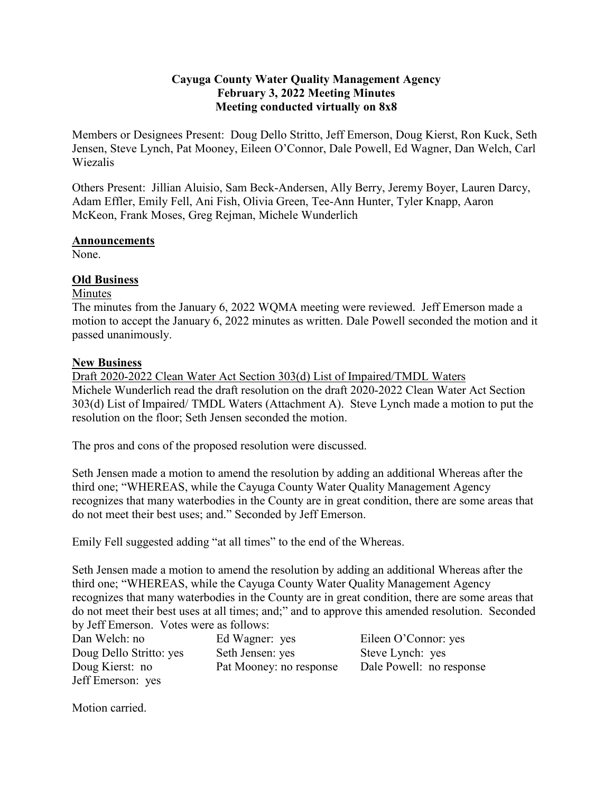## **Cayuga County Water Quality Management Agency February 3, 2022 Meeting Minutes Meeting conducted virtually on 8x8**

Members or Designees Present: Doug Dello Stritto, Jeff Emerson, Doug Kierst, Ron Kuck, Seth Jensen, Steve Lynch, Pat Mooney, Eileen O'Connor, Dale Powell, Ed Wagner, Dan Welch, Carl Wiezalis

Others Present: Jillian Aluisio, Sam Beck-Andersen, Ally Berry, Jeremy Boyer, Lauren Darcy, Adam Effler, Emily Fell, Ani Fish, Olivia Green, Tee-Ann Hunter, Tyler Knapp, Aaron McKeon, Frank Moses, Greg Rejman, Michele Wunderlich

### **Announcements**

None.

### **Old Business**

### Minutes

The minutes from the January 6, 2022 WQMA meeting were reviewed. Jeff Emerson made a motion to accept the January 6, 2022 minutes as written. Dale Powell seconded the motion and it passed unanimously.

### **New Business**

Draft 2020-2022 Clean Water Act Section 303(d) List of Impaired/TMDL Waters Michele Wunderlich read the draft resolution on the draft 2020-2022 Clean Water Act Section 303(d) List of Impaired/ TMDL Waters (Attachment A). Steve Lynch made a motion to put the resolution on the floor; Seth Jensen seconded the motion.

The pros and cons of the proposed resolution were discussed.

Seth Jensen made a motion to amend the resolution by adding an additional Whereas after the third one; "WHEREAS, while the Cayuga County Water Quality Management Agency recognizes that many waterbodies in the County are in great condition, there are some areas that do not meet their best uses; and." Seconded by Jeff Emerson.

Emily Fell suggested adding "at all times" to the end of the Whereas.

Seth Jensen made a motion to amend the resolution by adding an additional Whereas after the third one; "WHEREAS, while the Cayuga County Water Quality Management Agency recognizes that many waterbodies in the County are in great condition, there are some areas that do not meet their best uses at all times; and;" and to approve this amended resolution. Seconded by Jeff Emerson. Votes were as follows:

| Dan Welch: no           | Ed Wagner: yes          | Eileen O'Connor: yes     |
|-------------------------|-------------------------|--------------------------|
| Doug Dello Stritto: yes | Seth Jensen: yes        | Steve Lynch: yes         |
| Doug Kierst: no         | Pat Mooney: no response | Dale Powell: no response |
| Jeff Emerson: yes       |                         |                          |

Motion carried.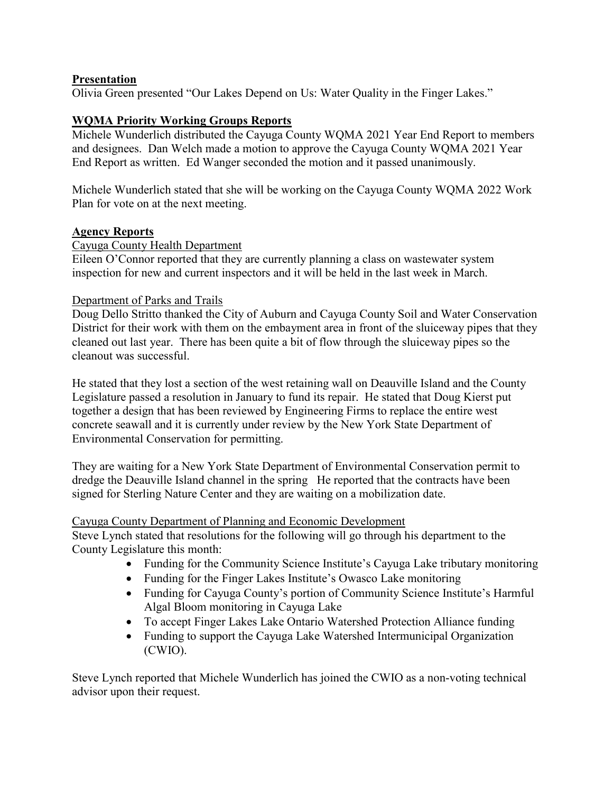# **Presentation**

Olivia Green presented "Our Lakes Depend on Us: Water Quality in the Finger Lakes."

### **WQMA Priority Working Groups Reports**

Michele Wunderlich distributed the Cayuga County WQMA 2021 Year End Report to members and designees. Dan Welch made a motion to approve the Cayuga County WQMA 2021 Year End Report as written. Ed Wanger seconded the motion and it passed unanimously.

Michele Wunderlich stated that she will be working on the Cayuga County WQMA 2022 Work Plan for vote on at the next meeting.

#### **Agency Reports**

#### Cayuga County Health Department

Eileen O'Connor reported that they are currently planning a class on wastewater system inspection for new and current inspectors and it will be held in the last week in March.

### Department of Parks and Trails

Doug Dello Stritto thanked the City of Auburn and Cayuga County Soil and Water Conservation District for their work with them on the embayment area in front of the sluiceway pipes that they cleaned out last year. There has been quite a bit of flow through the sluiceway pipes so the cleanout was successful.

He stated that they lost a section of the west retaining wall on Deauville Island and the County Legislature passed a resolution in January to fund its repair. He stated that Doug Kierst put together a design that has been reviewed by Engineering Firms to replace the entire west concrete seawall and it is currently under review by the New York State Department of Environmental Conservation for permitting.

They are waiting for a New York State Department of Environmental Conservation permit to dredge the Deauville Island channel in the spring He reported that the contracts have been signed for Sterling Nature Center and they are waiting on a mobilization date.

#### Cayuga County Department of Planning and Economic Development

Steve Lynch stated that resolutions for the following will go through his department to the County Legislature this month:

- Funding for the Community Science Institute's Cayuga Lake tributary monitoring
- Funding for the Finger Lakes Institute's Owasco Lake monitoring
- Funding for Cayuga County's portion of Community Science Institute's Harmful Algal Bloom monitoring in Cayuga Lake
- To accept Finger Lakes Lake Ontario Watershed Protection Alliance funding
- Funding to support the Cayuga Lake Watershed Intermunicipal Organization (CWIO).

Steve Lynch reported that Michele Wunderlich has joined the CWIO as a non-voting technical advisor upon their request.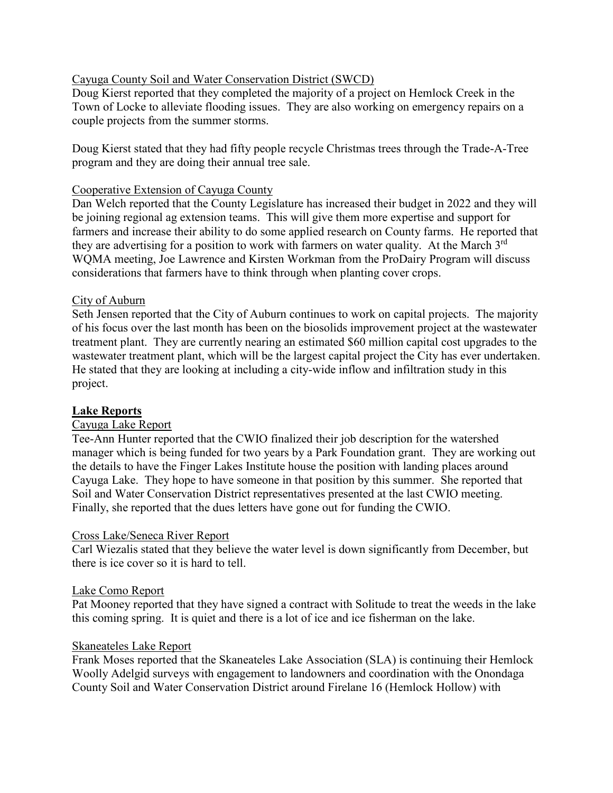## Cayuga County Soil and Water Conservation District (SWCD)

Doug Kierst reported that they completed the majority of a project on Hemlock Creek in the Town of Locke to alleviate flooding issues. They are also working on emergency repairs on a couple projects from the summer storms.

Doug Kierst stated that they had fifty people recycle Christmas trees through the Trade-A-Tree program and they are doing their annual tree sale.

### Cooperative Extension of Cayuga County

Dan Welch reported that the County Legislature has increased their budget in 2022 and they will be joining regional ag extension teams. This will give them more expertise and support for farmers and increase their ability to do some applied research on County farms. He reported that they are advertising for a position to work with farmers on water quality. At the March 3<sup>rd</sup> WQMA meeting, Joe Lawrence and Kirsten Workman from the ProDairy Program will discuss considerations that farmers have to think through when planting cover crops.

### City of Auburn

Seth Jensen reported that the City of Auburn continues to work on capital projects. The majority of his focus over the last month has been on the biosolids improvement project at the wastewater treatment plant. They are currently nearing an estimated \$60 million capital cost upgrades to the wastewater treatment plant, which will be the largest capital project the City has ever undertaken. He stated that they are looking at including a city-wide inflow and infiltration study in this project.

### **Lake Reports**

### Cayuga Lake Report

Tee-Ann Hunter reported that the CWIO finalized their job description for the watershed manager which is being funded for two years by a Park Foundation grant. They are working out the details to have the Finger Lakes Institute house the position with landing places around Cayuga Lake. They hope to have someone in that position by this summer. She reported that Soil and Water Conservation District representatives presented at the last CWIO meeting. Finally, she reported that the dues letters have gone out for funding the CWIO.

### Cross Lake/Seneca River Report

Carl Wiezalis stated that they believe the water level is down significantly from December, but there is ice cover so it is hard to tell.

#### Lake Como Report

Pat Mooney reported that they have signed a contract with Solitude to treat the weeds in the lake this coming spring. It is quiet and there is a lot of ice and ice fisherman on the lake.

### Skaneateles Lake Report

Frank Moses reported that the Skaneateles Lake Association (SLA) is continuing their Hemlock Woolly Adelgid surveys with engagement to landowners and coordination with the Onondaga County Soil and Water Conservation District around Firelane 16 (Hemlock Hollow) with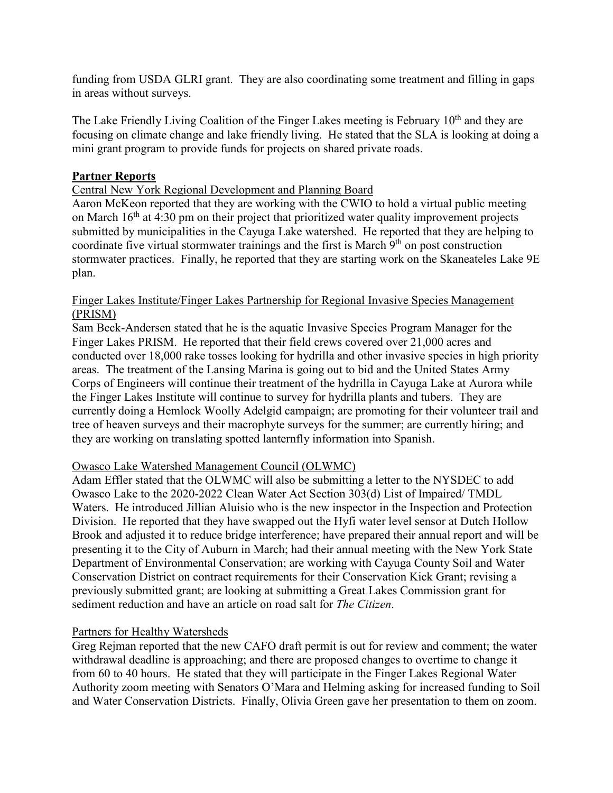funding from USDA GLRI grant. They are also coordinating some treatment and filling in gaps in areas without surveys.

The Lake Friendly Living Coalition of the Finger Lakes meeting is February  $10<sup>th</sup>$  and they are focusing on climate change and lake friendly living. He stated that the SLA is looking at doing a mini grant program to provide funds for projects on shared private roads.

# **Partner Reports**

### Central New York Regional Development and Planning Board

Aaron McKeon reported that they are working with the CWIO to hold a virtual public meeting on March  $16<sup>th</sup>$  at 4:30 pm on their project that prioritized water quality improvement projects submitted by municipalities in the Cayuga Lake watershed. He reported that they are helping to coordinate five virtual stormwater trainings and the first is March  $9<sup>th</sup>$  on post construction stormwater practices. Finally, he reported that they are starting work on the Skaneateles Lake 9E plan.

### Finger Lakes Institute/Finger Lakes Partnership for Regional Invasive Species Management (PRISM)

Sam Beck-Andersen stated that he is the aquatic Invasive Species Program Manager for the Finger Lakes PRISM. He reported that their field crews covered over 21,000 acres and conducted over 18,000 rake tosses looking for hydrilla and other invasive species in high priority areas. The treatment of the Lansing Marina is going out to bid and the United States Army Corps of Engineers will continue their treatment of the hydrilla in Cayuga Lake at Aurora while the Finger Lakes Institute will continue to survey for hydrilla plants and tubers. They are currently doing a Hemlock Woolly Adelgid campaign; are promoting for their volunteer trail and tree of heaven surveys and their macrophyte surveys for the summer; are currently hiring; and they are working on translating spotted lanternfly information into Spanish.

### Owasco Lake Watershed Management Council (OLWMC)

Adam Effler stated that the OLWMC will also be submitting a letter to the NYSDEC to add Owasco Lake to the 2020-2022 Clean Water Act Section 303(d) List of Impaired/ TMDL Waters. He introduced Jillian Aluisio who is the new inspector in the Inspection and Protection Division. He reported that they have swapped out the Hyfi water level sensor at Dutch Hollow Brook and adjusted it to reduce bridge interference; have prepared their annual report and will be presenting it to the City of Auburn in March; had their annual meeting with the New York State Department of Environmental Conservation; are working with Cayuga County Soil and Water Conservation District on contract requirements for their Conservation Kick Grant; revising a previously submitted grant; are looking at submitting a Great Lakes Commission grant for sediment reduction and have an article on road salt for *The Citizen*.

### Partners for Healthy Watersheds

Greg Rejman reported that the new CAFO draft permit is out for review and comment; the water withdrawal deadline is approaching; and there are proposed changes to overtime to change it from 60 to 40 hours. He stated that they will participate in the Finger Lakes Regional Water Authority zoom meeting with Senators O'Mara and Helming asking for increased funding to Soil and Water Conservation Districts. Finally, Olivia Green gave her presentation to them on zoom.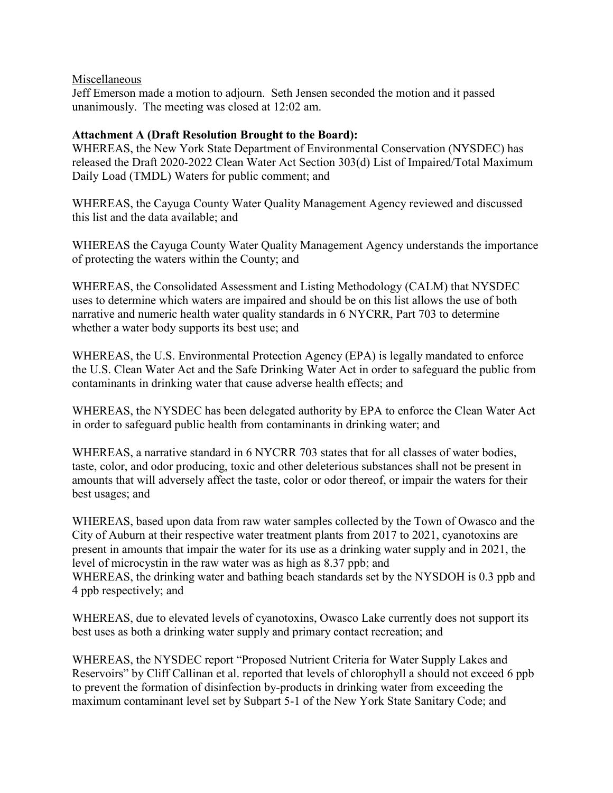### Miscellaneous

Jeff Emerson made a motion to adjourn. Seth Jensen seconded the motion and it passed unanimously. The meeting was closed at 12:02 am.

# **Attachment A (Draft Resolution Brought to the Board):**

WHEREAS, the New York State Department of Environmental Conservation (NYSDEC) has released the Draft 2020-2022 Clean Water Act Section 303(d) List of Impaired/Total Maximum Daily Load (TMDL) Waters for public comment; and

WHEREAS, the Cayuga County Water Quality Management Agency reviewed and discussed this list and the data available; and

WHEREAS the Cayuga County Water Quality Management Agency understands the importance of protecting the waters within the County; and

WHEREAS, the Consolidated Assessment and Listing Methodology (CALM) that NYSDEC uses to determine which waters are impaired and should be on this list allows the use of both narrative and numeric health water quality standards in 6 NYCRR, Part 703 to determine whether a water body supports its best use; and

WHEREAS, the U.S. Environmental Protection Agency (EPA) is legally mandated to enforce the U.S. Clean Water Act and the Safe Drinking Water Act in order to safeguard the public from contaminants in drinking water that cause adverse health effects; and

WHEREAS, the NYSDEC has been delegated authority by EPA to enforce the Clean Water Act in order to safeguard public health from contaminants in drinking water; and

WHEREAS, a narrative standard in 6 NYCRR 703 states that for all classes of water bodies, taste, color, and odor producing, toxic and other deleterious substances shall not be present in amounts that will adversely affect the taste, color or odor thereof, or impair the waters for their best usages; and

WHEREAS, based upon data from raw water samples collected by the Town of Owasco and the City of Auburn at their respective water treatment plants from 2017 to 2021, cyanotoxins are present in amounts that impair the water for its use as a drinking water supply and in 2021, the level of microcystin in the raw water was as high as 8.37 ppb; and WHEREAS, the drinking water and bathing beach standards set by the NYSDOH is 0.3 ppb and 4 ppb respectively; and

WHEREAS, due to elevated levels of cyanotoxins, Owasco Lake currently does not support its best uses as both a drinking water supply and primary contact recreation; and

WHEREAS, the NYSDEC report "Proposed Nutrient Criteria for Water Supply Lakes and Reservoirs" by Cliff Callinan et al. reported that levels of chlorophyll a should not exceed 6 ppb to prevent the formation of disinfection by-products in drinking water from exceeding the maximum contaminant level set by Subpart 5-1 of the New York State Sanitary Code; and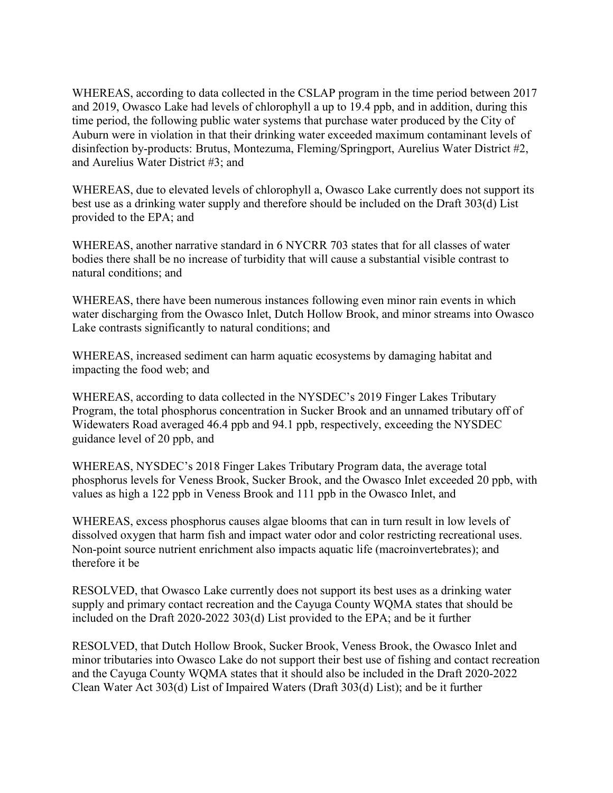WHEREAS, according to data collected in the CSLAP program in the time period between 2017 and 2019, Owasco Lake had levels of chlorophyll a up to 19.4 ppb, and in addition, during this time period, the following public water systems that purchase water produced by the City of Auburn were in violation in that their drinking water exceeded maximum contaminant levels of disinfection by-products: Brutus, Montezuma, Fleming/Springport, Aurelius Water District #2, and Aurelius Water District #3; and

WHEREAS, due to elevated levels of chlorophyll a, Owasco Lake currently does not support its best use as a drinking water supply and therefore should be included on the Draft 303(d) List provided to the EPA; and

WHEREAS, another narrative standard in 6 NYCRR 703 states that for all classes of water bodies there shall be no increase of turbidity that will cause a substantial visible contrast to natural conditions; and

WHEREAS, there have been numerous instances following even minor rain events in which water discharging from the Owasco Inlet, Dutch Hollow Brook, and minor streams into Owasco Lake contrasts significantly to natural conditions; and

WHEREAS, increased sediment can harm aquatic ecosystems by damaging habitat and impacting the food web; and

WHEREAS, according to data collected in the NYSDEC's 2019 Finger Lakes Tributary Program, the total phosphorus concentration in Sucker Brook and an unnamed tributary off of Widewaters Road averaged 46.4 ppb and 94.1 ppb, respectively, exceeding the NYSDEC guidance level of 20 ppb, and

WHEREAS, NYSDEC's 2018 Finger Lakes Tributary Program data, the average total phosphorus levels for Veness Brook, Sucker Brook, and the Owasco Inlet exceeded 20 ppb, with values as high a 122 ppb in Veness Brook and 111 ppb in the Owasco Inlet, and

WHEREAS, excess phosphorus causes algae blooms that can in turn result in low levels of dissolved oxygen that harm fish and impact water odor and color restricting recreational uses. Non-point source nutrient enrichment also impacts aquatic life (macroinvertebrates); and therefore it be

RESOLVED, that Owasco Lake currently does not support its best uses as a drinking water supply and primary contact recreation and the Cayuga County WQMA states that should be included on the Draft 2020-2022 303(d) List provided to the EPA; and be it further

RESOLVED, that Dutch Hollow Brook, Sucker Brook, Veness Brook, the Owasco Inlet and minor tributaries into Owasco Lake do not support their best use of fishing and contact recreation and the Cayuga County WQMA states that it should also be included in the Draft 2020-2022 Clean Water Act 303(d) List of Impaired Waters (Draft 303(d) List); and be it further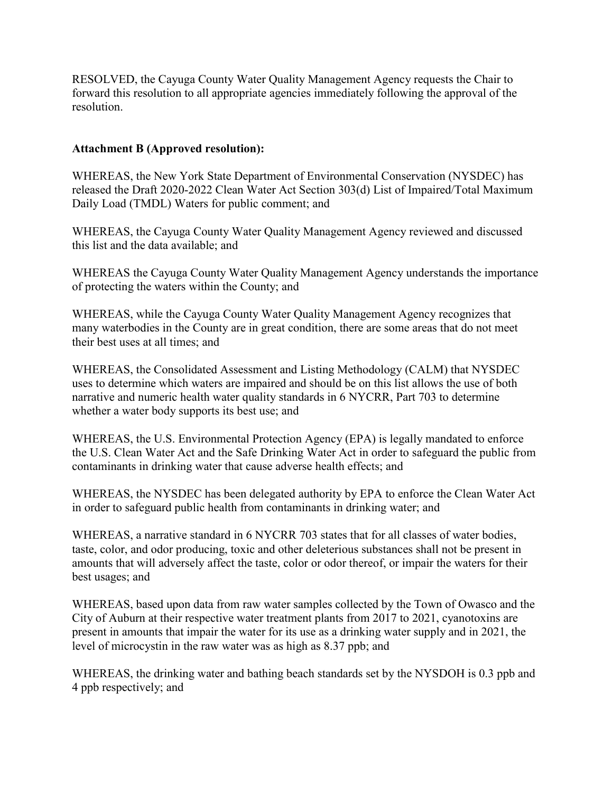RESOLVED, the Cayuga County Water Quality Management Agency requests the Chair to forward this resolution to all appropriate agencies immediately following the approval of the resolution.

# **Attachment B (Approved resolution):**

WHEREAS, the New York State Department of Environmental Conservation (NYSDEC) has released the Draft 2020-2022 Clean Water Act Section 303(d) List of Impaired/Total Maximum Daily Load (TMDL) Waters for public comment; and

WHEREAS, the Cayuga County Water Quality Management Agency reviewed and discussed this list and the data available; and

WHEREAS the Cayuga County Water Quality Management Agency understands the importance of protecting the waters within the County; and

WHEREAS, while the Cayuga County Water Quality Management Agency recognizes that many waterbodies in the County are in great condition, there are some areas that do not meet their best uses at all times; and

WHEREAS, the Consolidated Assessment and Listing Methodology (CALM) that NYSDEC uses to determine which waters are impaired and should be on this list allows the use of both narrative and numeric health water quality standards in 6 NYCRR, Part 703 to determine whether a water body supports its best use; and

WHEREAS, the U.S. Environmental Protection Agency (EPA) is legally mandated to enforce the U.S. Clean Water Act and the Safe Drinking Water Act in order to safeguard the public from contaminants in drinking water that cause adverse health effects; and

WHEREAS, the NYSDEC has been delegated authority by EPA to enforce the Clean Water Act in order to safeguard public health from contaminants in drinking water; and

WHEREAS, a narrative standard in 6 NYCRR 703 states that for all classes of water bodies, taste, color, and odor producing, toxic and other deleterious substances shall not be present in amounts that will adversely affect the taste, color or odor thereof, or impair the waters for their best usages; and

WHEREAS, based upon data from raw water samples collected by the Town of Owasco and the City of Auburn at their respective water treatment plants from 2017 to 2021, cyanotoxins are present in amounts that impair the water for its use as a drinking water supply and in 2021, the level of microcystin in the raw water was as high as 8.37 ppb; and

WHEREAS, the drinking water and bathing beach standards set by the NYSDOH is 0.3 ppb and 4 ppb respectively; and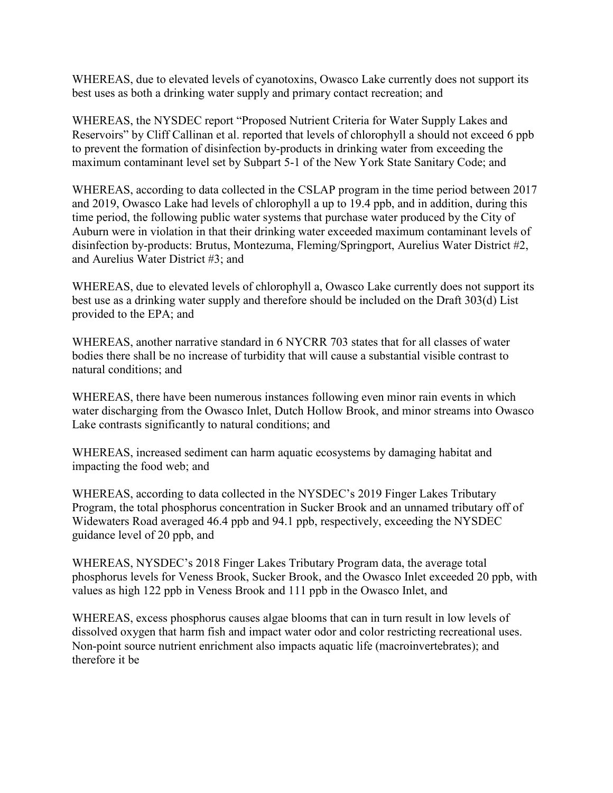WHEREAS, due to elevated levels of cyanotoxins, Owasco Lake currently does not support its best uses as both a drinking water supply and primary contact recreation; and

WHEREAS, the NYSDEC report "Proposed Nutrient Criteria for Water Supply Lakes and Reservoirs" by Cliff Callinan et al. reported that levels of chlorophyll a should not exceed 6 ppb to prevent the formation of disinfection by-products in drinking water from exceeding the maximum contaminant level set by Subpart 5-1 of the New York State Sanitary Code; and

WHEREAS, according to data collected in the CSLAP program in the time period between 2017 and 2019, Owasco Lake had levels of chlorophyll a up to 19.4 ppb, and in addition, during this time period, the following public water systems that purchase water produced by the City of Auburn were in violation in that their drinking water exceeded maximum contaminant levels of disinfection by-products: Brutus, Montezuma, Fleming/Springport, Aurelius Water District #2, and Aurelius Water District #3; and

WHEREAS, due to elevated levels of chlorophyll a, Owasco Lake currently does not support its best use as a drinking water supply and therefore should be included on the Draft 303(d) List provided to the EPA; and

WHEREAS, another narrative standard in 6 NYCRR 703 states that for all classes of water bodies there shall be no increase of turbidity that will cause a substantial visible contrast to natural conditions; and

WHEREAS, there have been numerous instances following even minor rain events in which water discharging from the Owasco Inlet, Dutch Hollow Brook, and minor streams into Owasco Lake contrasts significantly to natural conditions; and

WHEREAS, increased sediment can harm aquatic ecosystems by damaging habitat and impacting the food web; and

WHEREAS, according to data collected in the NYSDEC's 2019 Finger Lakes Tributary Program, the total phosphorus concentration in Sucker Brook and an unnamed tributary off of Widewaters Road averaged 46.4 ppb and 94.1 ppb, respectively, exceeding the NYSDEC guidance level of 20 ppb, and

WHEREAS, NYSDEC's 2018 Finger Lakes Tributary Program data, the average total phosphorus levels for Veness Brook, Sucker Brook, and the Owasco Inlet exceeded 20 ppb, with values as high 122 ppb in Veness Brook and 111 ppb in the Owasco Inlet, and

WHEREAS, excess phosphorus causes algae blooms that can in turn result in low levels of dissolved oxygen that harm fish and impact water odor and color restricting recreational uses. Non-point source nutrient enrichment also impacts aquatic life (macroinvertebrates); and therefore it be